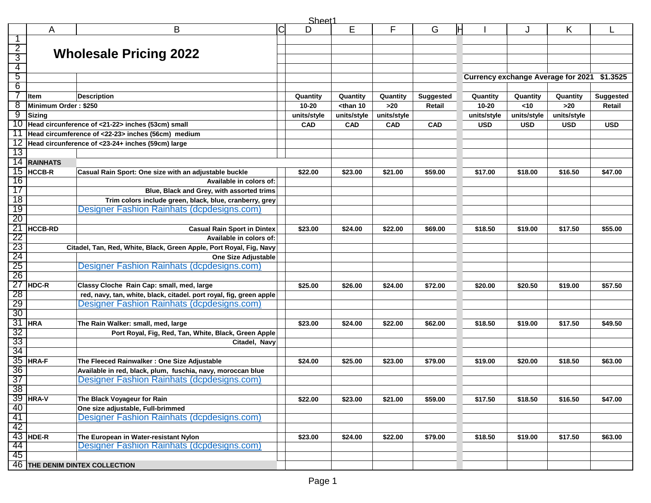|                       | Sheet1                |                                                                     |             |             |                                                                                                                                                                                          |             |                  |                                           |             |             |                  |
|-----------------------|-----------------------|---------------------------------------------------------------------|-------------|-------------|------------------------------------------------------------------------------------------------------------------------------------------------------------------------------------------|-------------|------------------|-------------------------------------------|-------------|-------------|------------------|
|                       | A                     | B                                                                   | $\mathsf C$ | D           | E                                                                                                                                                                                        | F           | G                |                                           | J           | Κ           |                  |
| 1                     |                       |                                                                     |             |             |                                                                                                                                                                                          |             |                  |                                           |             |             |                  |
| $\overline{2}$        |                       |                                                                     |             |             |                                                                                                                                                                                          |             |                  |                                           |             |             |                  |
| 3                     |                       | <b>Wholesale Pricing 2022</b>                                       |             |             |                                                                                                                                                                                          |             |                  |                                           |             |             |                  |
| 4                     |                       |                                                                     |             |             |                                                                                                                                                                                          |             |                  |                                           |             |             |                  |
| 5                     |                       |                                                                     |             |             |                                                                                                                                                                                          |             |                  | <b>Currency exchange Average for 2021</b> |             |             | \$1.3525         |
| 6                     |                       |                                                                     |             |             |                                                                                                                                                                                          |             |                  |                                           |             |             |                  |
|                       | <b>Item</b>           | <b>Description</b>                                                  |             | Quantity    | Quantity                                                                                                                                                                                 | Quantity    | <b>Suggested</b> | Quantity                                  | Quantity    | Quantity    | <b>Suggested</b> |
| 8                     | Minimum Order: \$250  |                                                                     |             | $10 - 20$   | <than 10<="" td=""><td><math display="inline">&gt;20</math></td><td>Retail</td><td>10-20</td><td><math>10</math></td><td><math display="inline">&gt;20</math></td><td>Retail</td></than> | $>20$       | Retail           | 10-20                                     | $10$        | $>20$       | Retail           |
| 9                     | <b>Sizing</b>         |                                                                     |             | units/style | units/style                                                                                                                                                                              | units/style |                  | units/style                               | units/style | units/style |                  |
| 10                    |                       | Head circunference of <21-22> inches (53cm) small                   |             | <b>CAD</b>  | <b>CAD</b>                                                                                                                                                                               | CAD         | CAD              | <b>USD</b>                                | <b>USD</b>  | <b>USD</b>  | <b>USD</b>       |
| 11                    |                       | Head circumference of <22-23> inches (56cm) medium                  |             |             |                                                                                                                                                                                          |             |                  |                                           |             |             |                  |
| 12                    |                       | Head circunference of <23-24+ inches (59cm) large                   |             |             |                                                                                                                                                                                          |             |                  |                                           |             |             |                  |
| 13                    |                       |                                                                     |             |             |                                                                                                                                                                                          |             |                  |                                           |             |             |                  |
| 14                    | <b>RAINHATS</b>       |                                                                     |             |             |                                                                                                                                                                                          |             |                  |                                           |             |             |                  |
| 15                    | <b>HCCB-R</b>         | Casual Rain Sport: One size with an adjustable buckle               |             | \$22.00     | \$23.00                                                                                                                                                                                  | \$21.00     | \$59.00          | \$17.00                                   | \$18.00     | \$16.50     | \$47.00          |
| 16                    |                       | Available in colors of:                                             |             |             |                                                                                                                                                                                          |             |                  |                                           |             |             |                  |
| 17                    |                       | Blue, Black and Grey, with assorted trims                           |             |             |                                                                                                                                                                                          |             |                  |                                           |             |             |                  |
| 18                    |                       | Trim colors include green, black, blue, cranberry, grey             |             |             |                                                                                                                                                                                          |             |                  |                                           |             |             |                  |
| 19                    |                       | Designer Fashion Rainhats (dcpdesigns.com)                          |             |             |                                                                                                                                                                                          |             |                  |                                           |             |             |                  |
| $\overline{20}$       |                       |                                                                     |             |             |                                                                                                                                                                                          |             |                  |                                           |             |             |                  |
| $\overline{21}$       | <b>HCCB-RD</b>        | <b>Casual Rain Sport in Dintex</b>                                  |             | \$23.00     | \$24.00                                                                                                                                                                                  | \$22.00     | \$69.00          | \$18.50                                   | \$19.00     | \$17.50     | \$55.00          |
| 22                    |                       | Available in colors of:                                             |             |             |                                                                                                                                                                                          |             |                  |                                           |             |             |                  |
| 23                    |                       |                                                                     |             |             |                                                                                                                                                                                          |             |                  |                                           |             |             |                  |
| 24                    |                       | Citadel, Tan, Red, White, Black, Green Apple, Port Royal, Fig, Navy |             |             |                                                                                                                                                                                          |             |                  |                                           |             |             |                  |
| 25                    |                       | One Size Adjustable<br>Designer Fashion Rainhats (dcpdesigns.com)   |             |             |                                                                                                                                                                                          |             |                  |                                           |             |             |                  |
| 26                    |                       |                                                                     |             |             |                                                                                                                                                                                          |             |                  |                                           |             |             |                  |
| 27                    |                       |                                                                     |             |             |                                                                                                                                                                                          |             |                  |                                           |             |             |                  |
|                       | <b>HDC-R</b>          | Classy Cloche Rain Cap: small, med, large                           |             | \$25.00     | \$26.00                                                                                                                                                                                  | \$24.00     | \$72.00          | \$20.00                                   | \$20.50     | \$19.00     | \$57.50          |
| 28                    |                       | red, navy, tan, white, black, citadel. port royal, fig, green apple |             |             |                                                                                                                                                                                          |             |                  |                                           |             |             |                  |
| 29<br>$\overline{30}$ |                       | Designer Fashion Rainhats (dcpdesigns.com)                          |             |             |                                                                                                                                                                                          |             |                  |                                           |             |             |                  |
|                       |                       |                                                                     |             |             |                                                                                                                                                                                          |             |                  |                                           |             |             |                  |
| 31                    | <b>HRA</b>            | The Rain Walker: small, med, large                                  |             | \$23.00     | \$24.00                                                                                                                                                                                  | \$22.00     | \$62.00          | \$18.50                                   | \$19.00     | \$17.50     | \$49.50          |
| 32<br>33              |                       | Port Royal, Fig, Red, Tan, White, Black, Green Apple                |             |             |                                                                                                                                                                                          |             |                  |                                           |             |             |                  |
| 34                    |                       | Citadel, Navy                                                       |             |             |                                                                                                                                                                                          |             |                  |                                           |             |             |                  |
| 35                    |                       |                                                                     |             |             |                                                                                                                                                                                          |             |                  |                                           |             |             |                  |
| 36                    | HRA-F                 | The Fleeced Rainwalker: One Size Adjustable                         |             | \$24.00     | \$25.00                                                                                                                                                                                  | \$23.00     | \$79.00          | \$19.00                                   | \$20.00     | \$18.50     | \$63.00          |
| $\overline{37}$       |                       | Available in red, black, plum, fuschia, navy, moroccan blue         |             |             |                                                                                                                                                                                          |             |                  |                                           |             |             |                  |
|                       |                       | Designer Fashion Rainhats (dcpdesigns.com)                          |             |             |                                                                                                                                                                                          |             |                  |                                           |             |             |                  |
|                       | 38<br>39 <b>HRA-V</b> |                                                                     |             |             |                                                                                                                                                                                          |             |                  |                                           |             |             |                  |
|                       |                       | The Black Voyageur for Rain                                         |             | \$22.00     | \$23.00                                                                                                                                                                                  | \$21.00     | \$59.00          | \$17.50                                   | \$18.50     | \$16.50     | \$47.00          |
| 40                    |                       | One size adjustable, Full-brimmed                                   |             |             |                                                                                                                                                                                          |             |                  |                                           |             |             |                  |
| 41                    |                       | Designer Fashion Rainhats (dcpdesigns.com)                          |             |             |                                                                                                                                                                                          |             |                  |                                           |             |             |                  |
| 42                    |                       |                                                                     |             |             |                                                                                                                                                                                          |             |                  |                                           |             |             |                  |
| 43                    | HDE-R                 | The European in Water-resistant Nylon                               |             | \$23.00     | \$24.00                                                                                                                                                                                  | \$22.00     | \$79.00          | \$18.50                                   | \$19.00     | \$17.50     | \$63.00          |
| 44<br>45              |                       | Designer Fashion Rainhats (dcpdesigns.com)                          |             |             |                                                                                                                                                                                          |             |                  |                                           |             |             |                  |
|                       |                       |                                                                     |             |             |                                                                                                                                                                                          |             |                  |                                           |             |             |                  |
|                       |                       | 46 THE DENIM DINTEX COLLECTION                                      |             |             |                                                                                                                                                                                          |             |                  |                                           |             |             |                  |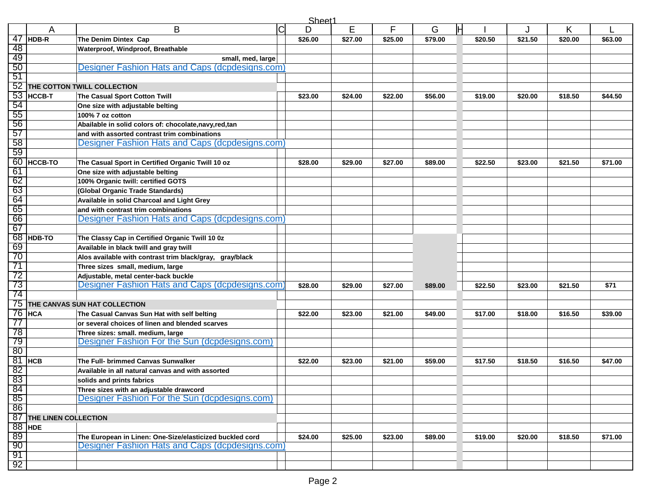|                 | Sheet1                  |                                                                                          |             |         |         |         |         |         |         |         |         |
|-----------------|-------------------------|------------------------------------------------------------------------------------------|-------------|---------|---------|---------|---------|---------|---------|---------|---------|
|                 | Α                       | B                                                                                        | $\mathsf C$ | D       | E       | F       | G       |         |         | Κ       |         |
| 47              | HDB-R                   | The Denim Dintex Cap                                                                     |             | \$26.00 | \$27.00 | \$25.00 | \$79.00 | \$20.50 | \$21.50 | \$20.00 | \$63.00 |
| 48              |                         | Waterproof, Windproof, Breathable                                                        |             |         |         |         |         |         |         |         |         |
| 49              |                         | small, med, large                                                                        |             |         |         |         |         |         |         |         |         |
| 50              |                         | Designer Fashion Hats and Caps (dcpdesigns.com)                                          |             |         |         |         |         |         |         |         |         |
| $-51$           |                         |                                                                                          |             |         |         |         |         |         |         |         |         |
| 52              |                         | THE COTTON TWILL COLLECTION                                                              |             |         |         |         |         |         |         |         |         |
|                 | $53$ HCCB-T             | The Casual Sport Cotton Twill                                                            |             | \$23.00 | \$24.00 | \$22.00 | \$56.00 | \$19.00 | \$20.00 | \$18.50 | \$44.50 |
| 54              |                         | One size with adjustable belting                                                         |             |         |         |         |         |         |         |         |         |
| 55              |                         | 100% 7 oz cotton                                                                         |             |         |         |         |         |         |         |         |         |
| 56              |                         | Abailable in solid colors of: chocolate, navy, red, tan                                  |             |         |         |         |         |         |         |         |         |
| 57              |                         | and with assorted contrast trim combinations                                             |             |         |         |         |         |         |         |         |         |
| 58              |                         | Designer Fashion Hats and Caps (dcpdesigns.com)                                          |             |         |         |         |         |         |         |         |         |
| 59              |                         |                                                                                          |             |         |         |         |         |         |         |         |         |
| 60              | <b>HCCB-TO</b>          | The Casual Sport in Certified Organic Twill 10 oz                                        |             | \$28.00 | \$29.00 | \$27.00 | \$89.00 | \$22.50 | \$23.00 | \$21.50 | \$71.00 |
| 61              |                         | One size with adjustable belting                                                         |             |         |         |         |         |         |         |         |         |
| 62              |                         | 100% Organic twill: certified GOTS                                                       |             |         |         |         |         |         |         |         |         |
| 63              |                         | (Global Organic Trade Standards)                                                         |             |         |         |         |         |         |         |         |         |
| 64              |                         | Available in solid Charcoal and Light Grey                                               |             |         |         |         |         |         |         |         |         |
| 65              |                         | and with contrast trim combinations                                                      |             |         |         |         |         |         |         |         |         |
| 66              |                         | Designer Fashion Hats and Caps (dcpdesigns.com                                           |             |         |         |         |         |         |         |         |         |
| 67              |                         |                                                                                          |             |         |         |         |         |         |         |         |         |
| 68              | <b>HDB-TO</b>           | The Classy Cap in Certified Organic Twill 10 0z                                          |             |         |         |         |         |         |         |         |         |
| 69              |                         | Available in black twill and gray twill                                                  |             |         |         |         |         |         |         |         |         |
| 70              |                         | Alos available with contrast trim black/gray, gray/black                                 |             |         |         |         |         |         |         |         |         |
| 71              |                         | Three sizes small, medium, large                                                         |             |         |         |         |         |         |         |         |         |
| 72              |                         | Adjustable, metal center-back buckle                                                     |             |         |         |         |         |         |         |         |         |
| 73              |                         | Designer Fashion Hats and Caps (dcpdesigns.com                                           |             | \$28.00 | \$29.00 | \$27.00 | \$89.00 | \$22.50 | \$23.00 | \$21.50 | \$71    |
| 74              |                         |                                                                                          |             |         |         |         |         |         |         |         |         |
| 75              |                         | THE CANVAS SUN HAT COLLECTION                                                            |             |         |         |         |         |         |         |         |         |
|                 | $76$ HCA                | The Casual Canvas Sun Hat with self belting                                              |             | \$22.00 | \$23.00 | \$21.00 | \$49.00 | \$17.00 | \$18.00 | \$16.50 | \$39.00 |
| 77              |                         | or several choices of linen and blended scarves                                          |             |         |         |         |         |         |         |         |         |
| 78              |                         | Three sizes: small. medium, large                                                        |             |         |         |         |         |         |         |         |         |
| 79<br>80        |                         | Designer Fashion For the Sun (dcpdesigns.com)                                            |             |         |         |         |         |         |         |         |         |
| 81              |                         | The Full- brimmed Canvas Sunwalker                                                       |             |         |         |         |         |         |         |         |         |
| 82              | <b>HCB</b>              | Available in all natural canvas and with assorted                                        |             | \$22.00 | \$23.00 | \$21.00 | \$59.00 | \$17.50 | \$18.50 | \$16.50 | \$47.00 |
| 83              |                         |                                                                                          |             |         |         |         |         |         |         |         |         |
|                 |                         | solids and prints fabrics                                                                |             |         |         |         |         |         |         |         |         |
| $\frac{84}{85}$ |                         | Three sizes with an adjustable drawcord<br>Designer Fashion For the Sun (dcpdesigns.com) |             |         |         |         |         |         |         |         |         |
|                 |                         |                                                                                          |             |         |         |         |         |         |         |         |         |
|                 | 87 THE LINEN COLLECTION |                                                                                          |             |         |         |         |         |         |         |         |         |
|                 |                         |                                                                                          |             |         |         |         |         |         |         |         |         |
| 89              | $88$ HDE                | The European in Linen: One-Size/elasticized buckled cord                                 |             |         |         |         |         |         |         |         |         |
| 90              |                         | Designer Fashion Hats and Caps (dcpdesigns.com)                                          |             | \$24.00 | \$25.00 | \$23.00 | \$89.00 | \$19.00 | \$20.00 | \$18.50 | \$71.00 |
| 91              |                         |                                                                                          |             |         |         |         |         |         |         |         |         |
| 92              |                         |                                                                                          |             |         |         |         |         |         |         |         |         |
|                 |                         |                                                                                          |             |         |         |         |         |         |         |         |         |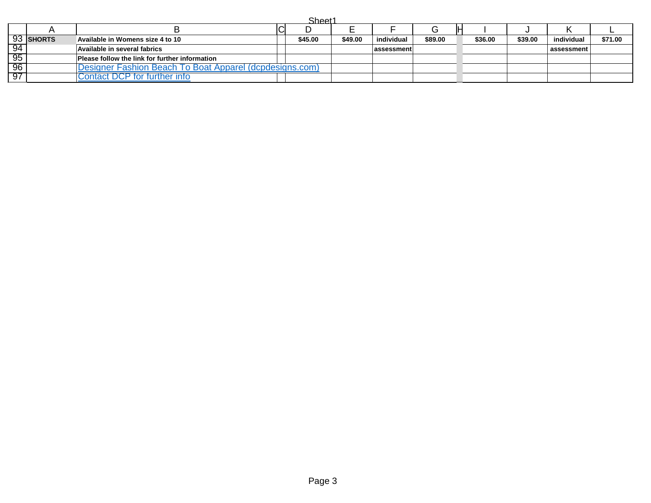| . . |  |
|-----|--|
|     |  |

|     | 93 SHORTS | Available in Womens size 4 to 10                        | \$45.00 | \$49.00 | individual        | \$89.00 | \$36.00 | \$39.00 | individual | \$71.00 |
|-----|-----------|---------------------------------------------------------|---------|---------|-------------------|---------|---------|---------|------------|---------|
| -94 |           | Available in several fabrics                            |         |         | <b>assessment</b> |         |         |         | assessment |         |
| -95 |           | Please follow the link for further information          |         |         |                   |         |         |         |            |         |
| -96 |           | Designer Fashion Beach To Boat Apparel (dcpdesigns.com) |         |         |                   |         |         |         |            |         |
| -97 |           | ontact DCP for further info:                            |         |         |                   |         |         |         |            |         |